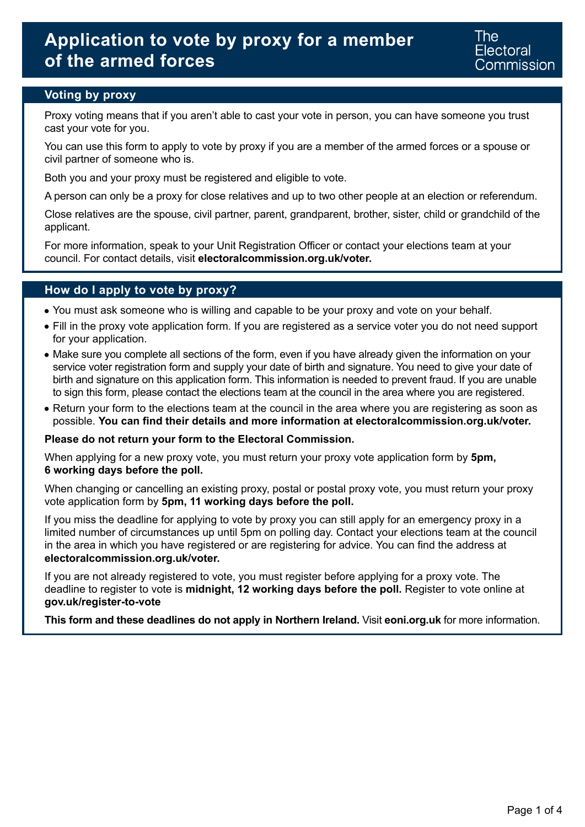## **Voting by proxy**

Proxy voting means that if you aren't able to cast your vote in person, you can have someone you trust cast your vote for you.

You can use this form to apply to vote by proxy if you are a member of the armed forces or a spouse or civil partner of someone who is.

Both you and your proxy must be registered and eligible to vote.

A person can only be a proxy for close relatives and up to two other people at an election or referendum.

Close relatives are the spouse, civil partner, parent, grandparent, brother, sister, child or grandchild of the applicant.

For more information, speak to your Unit Registration Officer or contact your elections team at your council. For contact details, visit **[electoralcommission.org.uk/voter.](https://www.electoralcommission.org.uk/i-am-a/voter)** 

### **How do I apply to vote by proxy?**

- You must ask someone who is willing and capable to be your proxy and vote on your behalf.
- Fill in the proxy vote application form. If you are registered as a service voter you do not need support for your application.
- Make sure you complete all sections of the form, even if you have already given the information on your service voter registration form and supply your date of birth and signature. You need to give your date of birth and signature on this application form. This information is needed to prevent fraud. If you are unable to sign this form, please contact the elections team at the council in the area where you are registered.
- Return your form to the elections team at the council in the area where you are registering as soon as possible. **You can find their details and more information at [electoralcommission.org.uk/voter.](https://www.electoralcommission.org.uk/i-am-a/voter)**

#### **Please do not return your form to the Electoral Commission.**

When applying for a new proxy vote, you must return your proxy vote application form by **5pm, 6 working days before the poll.** 

When changing or cancelling an existing proxy, postal or postal proxy vote, you must return your proxy vote application form by **5pm, 11 working days before the poll.** 

If you miss the deadline for applying to vote by proxy you can still apply for an emergency proxy in a limited number of circumstances up until 5pm on polling day. Contact your elections team at the council in the area in which you have registered or are registering for advice. You can find the address at **[electoralcommission.org.uk/voter.](https://www.electoralcommission.org.uk/i-am-a/voter)** 

If you are not already registered to vote, you must register before applying for a proxy vote. The deadline to register to vote is **midnight, 12 working days before the poll.** Register to vote online at **[gov.uk/register-to-vote](https://www.gov.uk/register-to-vote)** 

**This form and these deadlines do not apply in Northern Ireland.** Visit **[eoni.org.uk](https://www.eoni.org.uk)** for more information.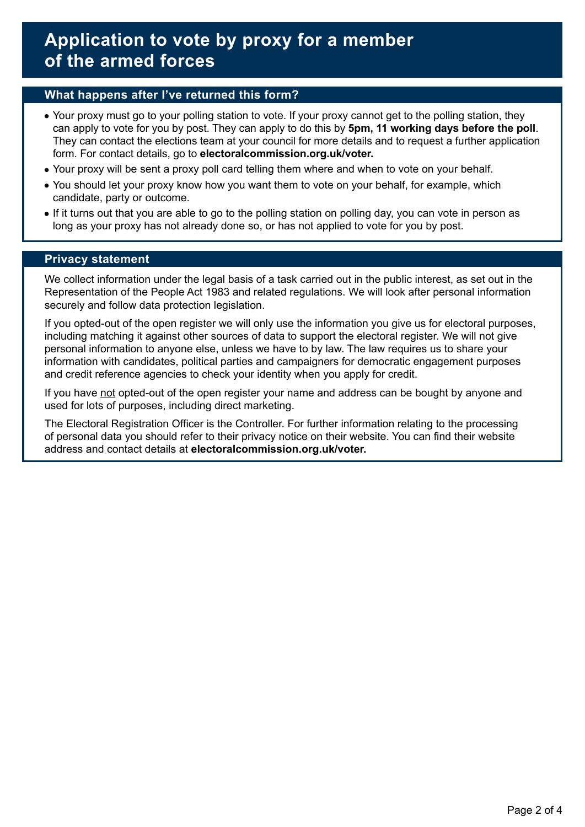### **What happens after I've returned this form?**

- Your proxy must go to your polling station to vote. If your proxy cannot get to the polling station, they can apply to vote for you by post. They can apply to do this by **5pm, 11 working days before the poll**. They can contact the elections team at your council for more details and to request a further application form. For contact details, go to **[electoralcommission.org.uk/voter.](https://www.electoralcommission.org.uk/i-am-a/voter)**
- Your proxy will be sent a proxy poll card telling them where and when to vote on your behalf.
- You should let your proxy know how you want them to vote on your behalf, for example, which candidate, party or outcome.
- If it turns out that you are able to go to the polling station on polling day, you can vote in person as long as your proxy has not already done so, or has not applied to vote for you by post.

#### **Privacy statement**

We collect information under the legal basis of a task carried out in the public interest, as set out in the Representation of the People Act 1983 and related regulations. We will look after personal information securely and follow data protection legislation.

If you opted-out of the open register we will only use the information you give us for electoral purposes, including matching it against other sources of data to support the electoral register. We will not give personal information to anyone else, unless we have to by law. The law requires us to share your information with candidates, political parties and campaigners for democratic engagement purposes and credit reference agencies to check your identity when you apply for credit.

If you have not opted-out of the open register your name and address can be bought by anyone and used for lots of purposes, including direct marketing.

The Electoral Registration Officer is the Controller. For further information relating to the processing of personal data you should refer to their privacy notice on their website. You can find their website address and contact details at **[electoralcommission.org.uk/voter.](https://www.electoralcommission.org.uk/i-am-a/voter)**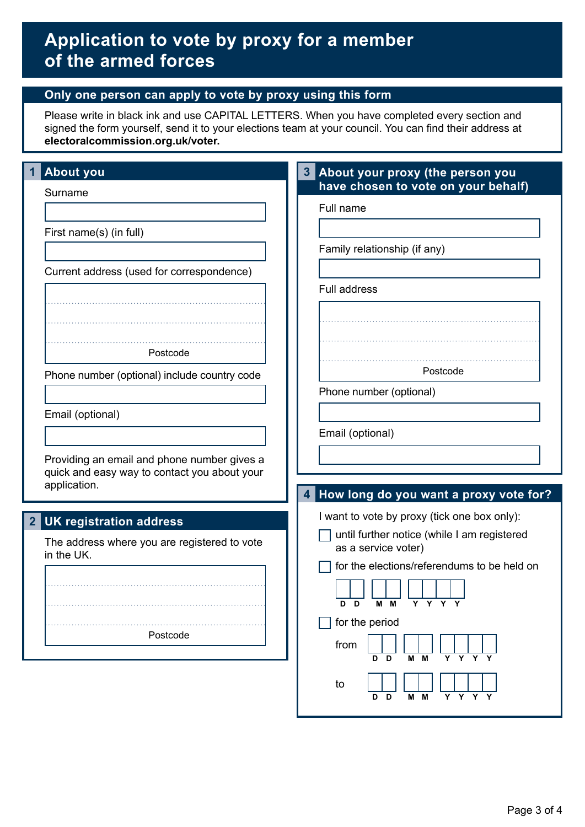## **Only one person can apply to vote by proxy using this form**

Please write in black ink and use CAPITAL LETTERS. When you have completed every section and signed the form yourself, send it to your elections team at your council. You can find their address at **[electoralcommission.org.uk/voter.](https://www.electoralcommission.org.uk/i-am-a/voter)** 

| <b>About you</b>                                                                                            | About your proxy (the person you<br>3 <sup>1</sup><br>have chosen to vote on your behalf) |
|-------------------------------------------------------------------------------------------------------------|-------------------------------------------------------------------------------------------|
| Surname                                                                                                     | Full name                                                                                 |
| First name(s) (in full)                                                                                     | Family relationship (if any)                                                              |
| Current address (used for correspondence)                                                                   | <b>Full address</b>                                                                       |
|                                                                                                             |                                                                                           |
| Postcode                                                                                                    |                                                                                           |
| Phone number (optional) include country code                                                                | Postcode<br>Phone number (optional)                                                       |
| Email (optional)                                                                                            | Email (optional)                                                                          |
| Providing an email and phone number gives a<br>quick and easy way to contact you about your<br>application. |                                                                                           |
|                                                                                                             | 4 How long do you want a proxy vote for?                                                  |
| <b>UK registration address</b><br>$\overline{2}$                                                            | I want to vote by proxy (tick one box only):                                              |
| The address where you are registered to vote<br>in the UK.                                                  | until further notice (while I am registered<br>as a service voter)                        |
|                                                                                                             | for the elections/referendums to be held on                                               |
|                                                                                                             | M M<br>Y Y Y Y<br>D D                                                                     |
| Postcode                                                                                                    | for the period<br>from<br>Y<br>Υ<br>D<br>м<br>м<br>D                                      |
|                                                                                                             | to<br>Y Y Y Y<br>M M<br>D D                                                               |